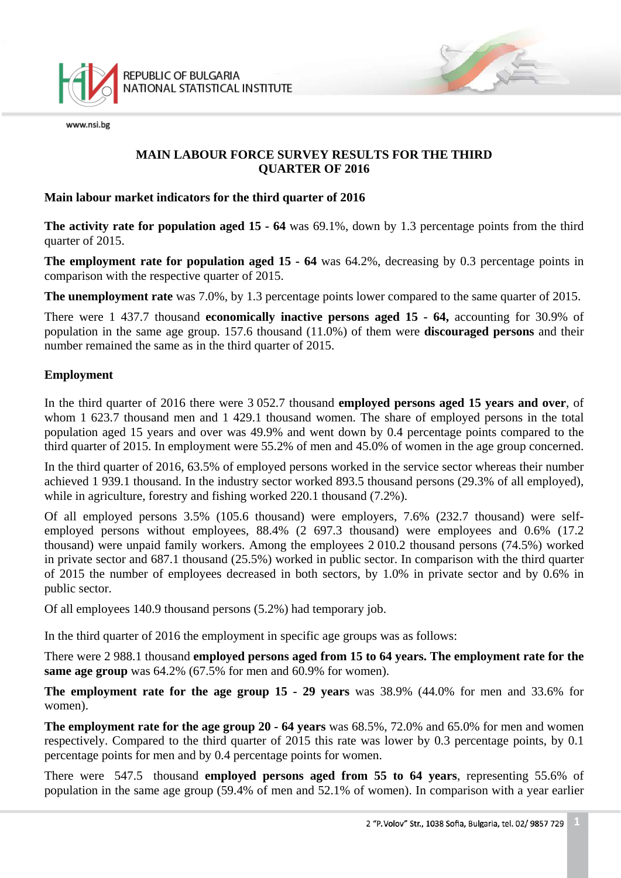

## **MAIN LABOUR FORCE SURVEY RESULTS FOR THE THIRD QUARTER OF 2016**

#### **Main labour market indicators for the third quarter of 2016**

**The activity rate for population aged 15 - 64** was 69.1%, down by 1.3 percentage points from the third quarter of 2015.

**The employment rate for population aged 15 - 64** was 64.2%, decreasing by 0.3 percentage points in comparison with the respective quarter of 2015.

**The unemployment rate** was 7.0%, by 1.3 percentage points lower compared to the same quarter of 2015.

There were 1 437.7 thousand **economically inactive persons aged 15 - 64,** accounting for 30.9% of population in the same age group. 157.6 thousand (11.0%) of them were **discouraged persons** and their number remained the same as in the third quarter of 2015.

### **Employment**

In the third quarter of 2016 there were 3 052.7 thousand **employed persons aged 15 years and over**, of whom 1 623.7 thousand men and 1 429.1 thousand women. The share of employed persons in the total population aged 15 years and over was 49.9% and went down by 0.4 percentage points compared to the third quarter of 2015. In employment were 55.2% of men and 45.0% of women in the age group concerned.

In the third quarter of 2016, 63.5% of employed persons worked in the service sector whereas their number achieved 1 939.1 thousand. In the industry sector worked 893.5 thousand persons (29.3% of all employed), while in agriculture, forestry and fishing worked 220.1 thousand  $(7.2\%)$ .

Of all employed persons 3.5% (105.6 thousand) were employers, 7.6% (232.7 thousand) were selfemployed persons without employees, 88.4% (2 697.3 thousand) were employees and 0.6% (17.2 thousand) were unpaid family workers. Among the employees 2 010.2 thousand persons (74.5%) worked in private sector and 687.1 thousand (25.5%) worked in public sector. In comparison with the third quarter of 2015 the number of employees decreased in both sectors, by 1.0% in private sector and by 0.6% in public sector.

Of all employees 140.9 thousand persons (5.2%) had temporary job.

In the third quarter of 2016 the employment in specific age groups was as follows:

There were 2 988.1 thousand **employed persons aged from 15 to 64 years. The employment rate for the same age group** was 64.2% (67.5% for men and 60.9% for women).

**The employment rate for the age group 15 - 29 years** was 38.9% (44.0% for men and 33.6% for women).

**The employment rate for the age group 20 - 64 years** was 68.5%, 72.0% and 65.0% for men and women respectively. Compared to the third quarter of 2015 this rate was lower by 0.3 percentage points, by 0.1 percentage points for men and by 0.4 percentage points for women.

There were 547.5 thousand **employed persons aged from 55 to 64 years**, representing 55.6% of population in the same age group (59.4% of men and 52.1% of women). In comparison with a year earlier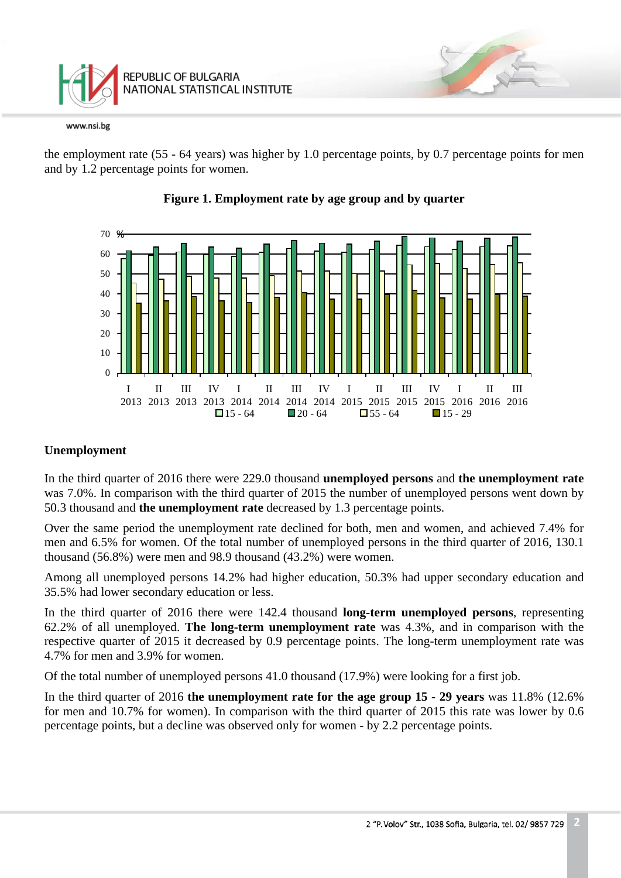

the employment rate (55 - 64 years) was higher by 1.0 percentage points, by 0.7 percentage points for men and by 1.2 percentage points for women.





### **Unemployment**

In the third quarter of 2016 there were 229.0 thousand **unemployed persons** and **the unemployment rate**  was 7.0%. In comparison with the third quarter of 2015 the number of unemployed persons went down by 50.3 thousand and **the unemployment rate** decreased by 1.3 percentage points.

Over the same period the unemployment rate declined for both, men and women, and achieved 7.4% for men and 6.5% for women. Of the total number of unemployed persons in the third quarter of 2016, 130.1 thousand (56.8%) were men and 98.9 thousand (43.2%) were women.

Among all unemployed persons 14.2% had higher education, 50.3% had upper secondary education and 35.5% had lower secondary education or less.

In the third quarter of 2016 there were 142.4 thousand **long-term unemployed persons**, representing 62.2% of all unemployed. **The long-term unemployment rate** was 4.3%, and in comparison with the respective quarter of 2015 it decreased by 0.9 percentage points. The long-term unemployment rate was 4.7% for men and 3.9% for women.

Of the total number of unemployed persons 41.0 thousand (17.9%) were looking for a first job.

In the third quarter of 2016 **the unemployment rate for the age group 15 - 29 years** was 11.8% (12.6% for men and 10.7% for women). In comparison with the third quarter of 2015 this rate was lower by 0.6 percentage points, but a decline was observed only for women - by 2.2 percentage points.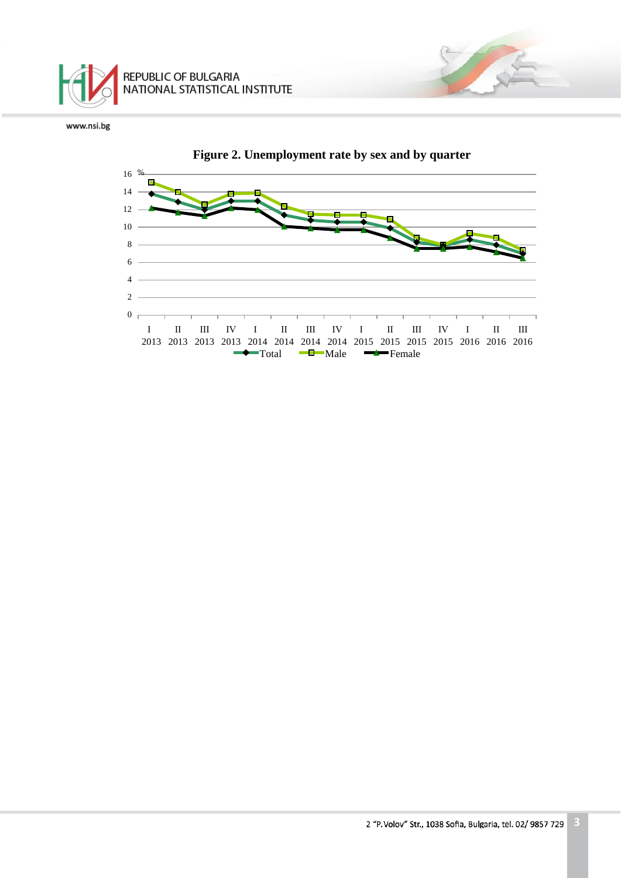

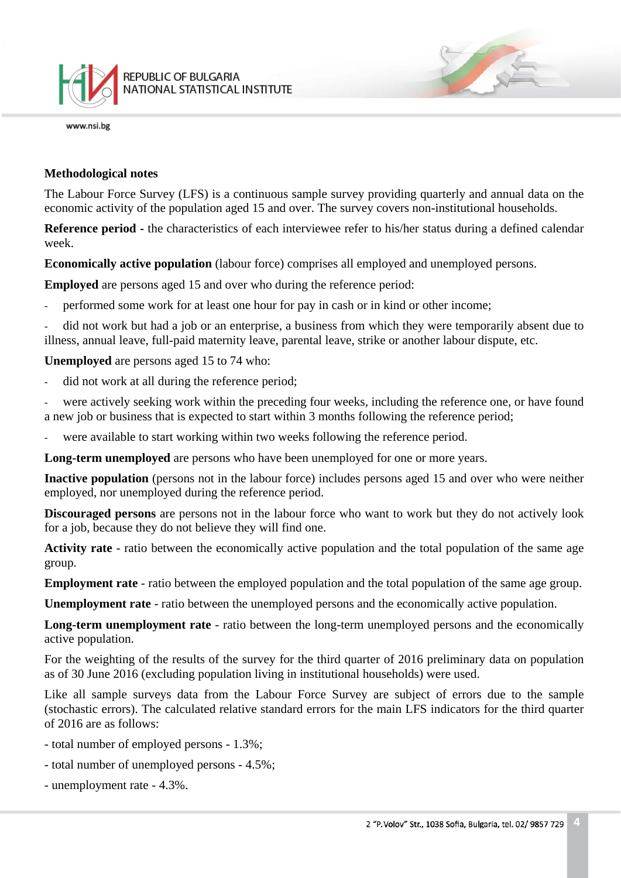

#### **Methodological notes**

The Labour Force Survey (LFS) is a continuous sample survey providing quarterly and annual data on the economic activity of the population aged 15 and over. The survey covers non-institutional households.

**Reference period -** the characteristics of each interviewee refer to his/her status during a defined calendar week.

**Economically active population** (labour force) comprises all employed and unemployed persons.

**Employed** are persons aged 15 and over who during the reference period:

performed some work for at least one hour for pay in cash or in kind or other income;

did not work but had a job or an enterprise, a business from which they were temporarily absent due to illness, annual leave, full-paid maternity leave, parental leave, strike or another labour dispute, etc.

**Unemployed** are persons aged 15 to 74 who:

did not work at all during the reference period;

were actively seeking work within the preceding four weeks, including the reference one, or have found a new job or business that is expected to start within 3 months following the reference period;

were available to start working within two weeks following the reference period.

**Long-term unemployed** are persons who have been unemployed for one or more years.

**Inactive population** (persons not in the labour force) includes persons aged 15 and over who were neither employed, nor unemployed during the reference period.

**Discouraged persons** are persons not in the labour force who want to work but they do not actively look for a job, because they do not believe they will find one.

**Activity rate** - ratio between the economically active population and the total population of the same age group.

**Employment rate** - ratio between the employed population and the total population of the same age group.

**Unemployment rate** - ratio between the unemployed persons and the economically active population.

**Long-term unemployment rate** - ratio between the long-term unemployed persons and the economically active population.

For the weighting of the results of the survey for the third quarter of 2016 preliminary data on population as of 30 June 2016 (excluding population living in institutional households) were used.

Like all sample surveys data from the Labour Force Survey are subject of errors due to the sample (stochastic errors). The calculated relative standard errors for the main LFS indicators for the third quarter of 2016 are as follows:

- total number of employed persons 1.3%;
- total number of unemployed persons 4.5%;
- unemployment rate 4.3%.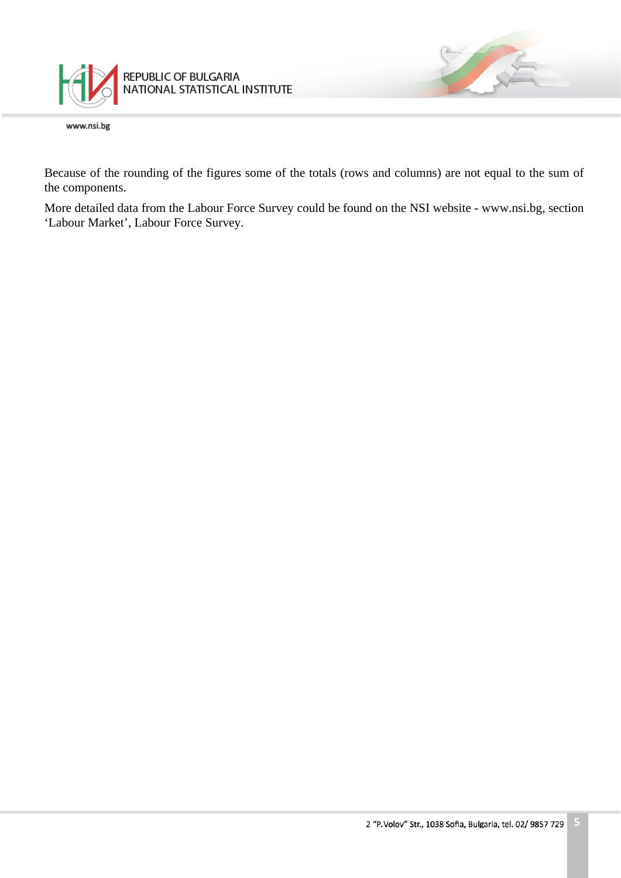

Because of the rounding of the figures some of the totals (rows and columns) are not equal to the sum of the components.

More detailed data from the Labour Force Survey could be found on the NSI website - www.nsi.bg, section 'Labour Market', Labour Force Survey.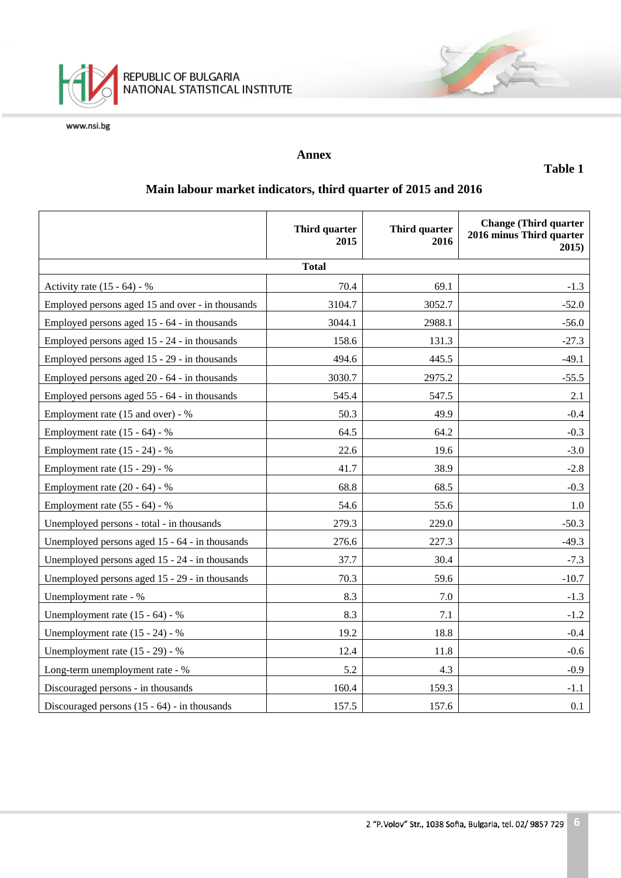

## **Annex**

**Table 1**

# **Main labour market indicators, third quarter of 2015 and 2016**

|                                                  | Third quarter<br>2015 | Third quarter<br>2016 | <b>Change (Third quarter)</b><br>2016 minus Third quarter<br>2015) |  |  |
|--------------------------------------------------|-----------------------|-----------------------|--------------------------------------------------------------------|--|--|
| <b>Total</b>                                     |                       |                       |                                                                    |  |  |
| Activity rate $(15 - 64) - %$                    | 70.4                  | 69.1                  | $-1.3$                                                             |  |  |
| Employed persons aged 15 and over - in thousands | 3104.7                | 3052.7                | $-52.0$                                                            |  |  |
| Employed persons aged 15 - 64 - in thousands     | 3044.1                | 2988.1                | $-56.0$                                                            |  |  |
| Employed persons aged 15 - 24 - in thousands     | 158.6                 | 131.3                 | $-27.3$                                                            |  |  |
| Employed persons aged 15 - 29 - in thousands     | 494.6                 | 445.5                 | $-49.1$                                                            |  |  |
| Employed persons aged 20 - 64 - in thousands     | 3030.7                | 2975.2                | $-55.5$                                                            |  |  |
| Employed persons aged 55 - 64 - in thousands     | 545.4                 | 547.5                 | 2.1                                                                |  |  |
| Employment rate (15 and over) - %                | 50.3                  | 49.9                  | $-0.4$                                                             |  |  |
| Employment rate (15 - 64) - %                    | 64.5                  | 64.2                  | $-0.3$                                                             |  |  |
| Employment rate $(15 - 24) - %$                  | 22.6                  | 19.6                  | $-3.0$                                                             |  |  |
| Employment rate $(15 - 29) - %$                  | 41.7                  | 38.9                  | $-2.8$                                                             |  |  |
| Employment rate $(20 - 64) - %$                  | 68.8                  | 68.5                  | $-0.3$                                                             |  |  |
| Employment rate $(55 - 64) - %$                  | 54.6                  | 55.6                  | $1.0\,$                                                            |  |  |
| Unemployed persons - total - in thousands        | 279.3                 | 229.0                 | $-50.3$                                                            |  |  |
| Unemployed persons aged 15 - 64 - in thousands   | 276.6                 | 227.3                 | $-49.3$                                                            |  |  |
| Unemployed persons aged 15 - 24 - in thousands   | 37.7                  | 30.4                  | $-7.3$                                                             |  |  |
| Unemployed persons aged 15 - 29 - in thousands   | 70.3                  | 59.6                  | $-10.7$                                                            |  |  |
| Unemployment rate - %                            | 8.3                   | 7.0                   | $-1.3$                                                             |  |  |
| Unemployment rate $(15 - 64) - %$                | 8.3                   | 7.1                   | $-1.2$                                                             |  |  |
| Unemployment rate (15 - 24) - %                  | 19.2                  | 18.8                  | $-0.4$                                                             |  |  |
| Unemployment rate (15 - 29) - %                  | 12.4                  | 11.8                  | $-0.6$                                                             |  |  |
| Long-term unemployment rate - %                  | 5.2                   | 4.3                   | $-0.9$                                                             |  |  |
| Discouraged persons - in thousands               | 160.4                 | 159.3                 | $-1.1$                                                             |  |  |
| Discouraged persons $(15 - 64)$ - in thousands   | 157.5                 | 157.6                 | 0.1                                                                |  |  |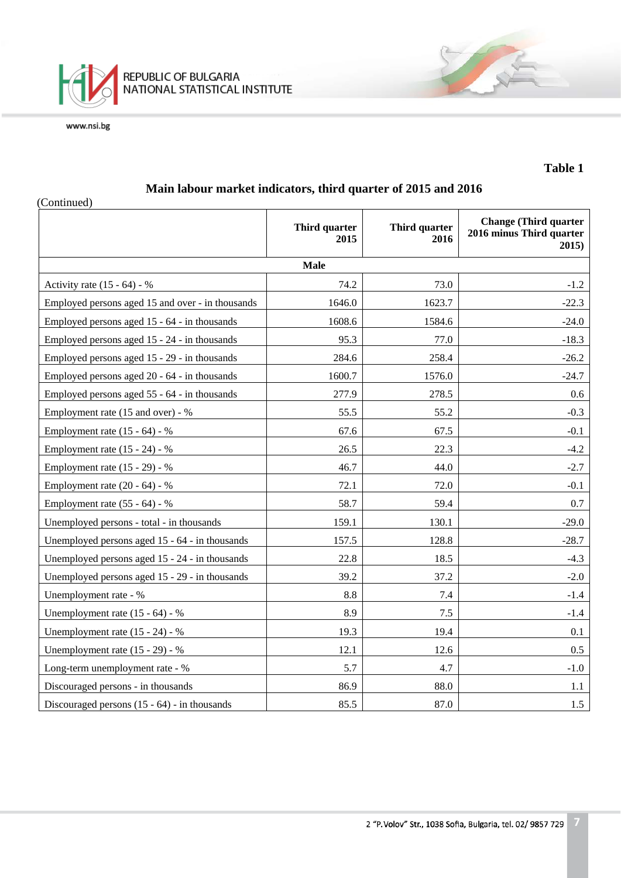

## **Table 1**

## **Main labour market indicators, third quarter of 2015 and 2016**

| (Continued)                                      |                       |                       |                                                                   |  |  |  |
|--------------------------------------------------|-----------------------|-----------------------|-------------------------------------------------------------------|--|--|--|
|                                                  | Third quarter<br>2015 | Third quarter<br>2016 | <b>Change (Third quarter</b><br>2016 minus Third quarter<br>2015) |  |  |  |
| <b>Male</b>                                      |                       |                       |                                                                   |  |  |  |
| Activity rate $(15 - 64) - %$                    | 74.2                  | 73.0                  | $-1.2$                                                            |  |  |  |
| Employed persons aged 15 and over - in thousands | 1646.0                | 1623.7                | $-22.3$                                                           |  |  |  |
| Employed persons aged 15 - 64 - in thousands     | 1608.6                | 1584.6                | $-24.0$                                                           |  |  |  |
| Employed persons aged 15 - 24 - in thousands     | 95.3                  | 77.0                  | $-18.3$                                                           |  |  |  |
| Employed persons aged 15 - 29 - in thousands     | 284.6                 | 258.4                 | $-26.2$                                                           |  |  |  |
| Employed persons aged 20 - 64 - in thousands     | 1600.7                | 1576.0                | $-24.7$                                                           |  |  |  |
| Employed persons aged 55 - 64 - in thousands     | 277.9                 | 278.5                 | 0.6                                                               |  |  |  |
| Employment rate (15 and over) - %                | 55.5                  | 55.2                  | $-0.3$                                                            |  |  |  |
| Employment rate (15 - 64) - %                    | 67.6                  | 67.5                  | $-0.1$                                                            |  |  |  |
| Employment rate (15 - 24) - %                    | 26.5                  | 22.3                  | $-4.2$                                                            |  |  |  |
| Employment rate (15 - 29) - %                    | 46.7                  | 44.0                  | $-2.7$                                                            |  |  |  |
| Employment rate $(20 - 64) - %$                  | 72.1                  | 72.0                  | $-0.1$                                                            |  |  |  |
| Employment rate $(55 - 64) - %$                  | 58.7                  | 59.4                  | 0.7                                                               |  |  |  |
| Unemployed persons - total - in thousands        | 159.1                 | 130.1                 | $-29.0$                                                           |  |  |  |
| Unemployed persons aged 15 - 64 - in thousands   | 157.5                 | 128.8                 | $-28.7$                                                           |  |  |  |
| Unemployed persons aged 15 - 24 - in thousands   | 22.8                  | 18.5                  | $-4.3$                                                            |  |  |  |
| Unemployed persons aged 15 - 29 - in thousands   | 39.2                  | 37.2                  | $-2.0$                                                            |  |  |  |
| Unemployment rate - %                            | $8.8\,$               | 7.4                   | $-1.4$                                                            |  |  |  |
| Unemployment rate $(15 - 64) - %$                | 8.9                   | 7.5                   | $-1.4$                                                            |  |  |  |
| Unemployment rate $(15 - 24)$ - %                | 19.3                  | 19.4                  | 0.1                                                               |  |  |  |
| Unemployment rate (15 - 29) - %                  | 12.1                  | 12.6                  | 0.5                                                               |  |  |  |
| Long-term unemployment rate - %                  | 5.7                   | 4.7                   | $-1.0$                                                            |  |  |  |
| Discouraged persons - in thousands               | 86.9                  | 88.0                  | 1.1                                                               |  |  |  |
| Discouraged persons $(15 - 64)$ - in thousands   | 85.5                  | 87.0                  | 1.5                                                               |  |  |  |